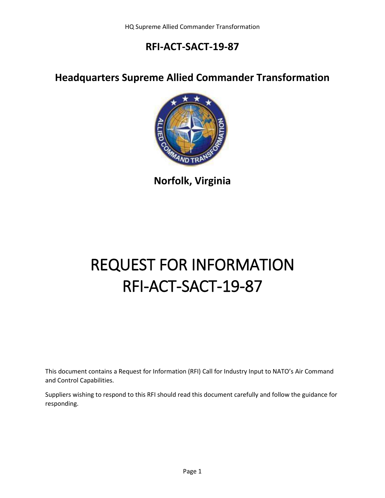#### **Headquarters Supreme Allied Commander Transformation**



**Norfolk, Virginia**

# REQUEST FOR INFORMATION RFI-ACT-SACT-19-87

This document contains a Request for Information (RFI) Call for Industry Input to NATO's Air Command and Control Capabilities.

Suppliers wishing to respond to this RFI should read this document carefully and follow the guidance for responding.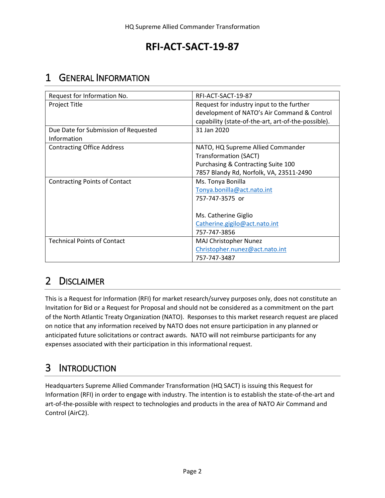## <span id="page-1-0"></span>1 GENERAL INFORMATION

| Request for Information No.          | RFI-ACT-SACT-19-87                                                                       |
|--------------------------------------|------------------------------------------------------------------------------------------|
| Project Title                        | Request for industry input to the further<br>development of NATO's Air Command & Control |
|                                      | capability (state-of-the-art, art-of-the-possible).                                      |
| Due Date for Submission of Requested | 31 Jan 2020                                                                              |
| Information                          |                                                                                          |
| <b>Contracting Office Address</b>    | NATO, HQ Supreme Allied Commander                                                        |
|                                      | <b>Transformation (SACT)</b>                                                             |
|                                      | Purchasing & Contracting Suite 100                                                       |
|                                      | 7857 Blandy Rd, Norfolk, VA, 23511-2490                                                  |
| <b>Contracting Points of Contact</b> | Ms. Tonya Bonilla                                                                        |
|                                      | Tonya.bonilla@act.nato.int                                                               |
|                                      | 757-747-3575 or                                                                          |
|                                      |                                                                                          |
|                                      | Ms. Catherine Giglio                                                                     |
|                                      | Catherine.gigilo@act.nato.int                                                            |
|                                      | 757-747-3856                                                                             |
| <b>Technical Points of Contact</b>   | MAJ Christopher Nunez                                                                    |
|                                      | Christopher.nunez@act.nato.int                                                           |
|                                      | 757-747-3487                                                                             |

# 2 DISCLAIMER

This is a Request for Information (RFI) for market research/survey purposes only, does not constitute an Invitation for Bid or a Request for Proposal and should not be considered as a commitment on the part of the North Atlantic Treaty Organization (NATO). Responses to this market research request are placed on notice that any information received by NATO does not ensure participation in any planned or anticipated future solicitations or contract awards. NATO will not reimburse participants for any expenses associated with their participation in this informational request.

# 3 INTRODUCTION

Headquarters Supreme Allied Commander Transformation (HQ SACT) is issuing this Request for Information (RFI) in order to engage with industry. The intention is to establish the state-of-the-art and art-of-the-possible with respect to technologies and products in the area of NATO Air Command and Control (AirC2).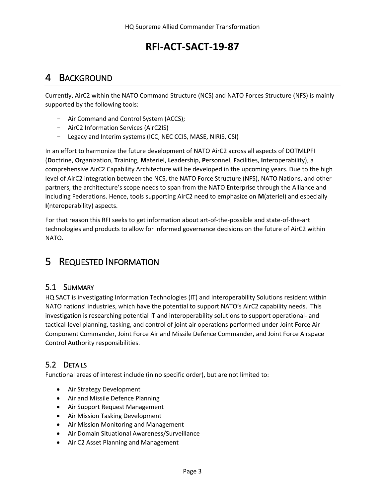#### 4 BACKGROUND

Currently, AirC2 within the NATO Command Structure (NCS) and NATO Forces Structure (NFS) is mainly supported by the following tools:

- Air Command and Control System (ACCS);
- AirC2 Information Services (AirC2IS)
- Legacy and Interim systems (ICC, NEC CCIS, MASE, NIRIS, CSI)

In an effort to harmonize the future development of NATO AirC2 across all aspects of DOTMLPFI (**D**octrine, **O**rganization, **T**raining, **M**ateriel, **L**eadership, **P**ersonnel, **F**acilities, **I**nteroperability), a comprehensive AirC2 Capability Architecture will be developed in the upcoming years. Due to the high level of AirC2 integration between the NCS, the NATO Force Structure (NFS), NATO Nations, and other partners, the architecture's scope needs to span from the NATO Enterprise through the Alliance and including Federations. Hence, tools supporting AirC2 need to emphasize on **M**(ateriel) and especially **I**(nteroperability) aspects.

For that reason this RFI seeks to get information about art-of-the-possible and state-of-the-art technologies and products to allow for informed governance decisions on the future of AirC2 within NATO.

## 5 REQUESTED INFORMATION

#### 5.1 SUMMARY

HQ SACT is investigating Information Technologies (IT) and Interoperability Solutions resident within NATO nations' industries, which have the potential to support NATO's AirC2 capability needs. This investigation is researching potential IT and interoperability solutions to support operational- and tactical-level planning, tasking, and control of joint air operations performed under Joint Force Air Component Commander, Joint Force Air and Missile Defence Commander, and Joint Force Airspace Control Authority responsibilities.

#### <span id="page-2-0"></span>5.2 DETAILS

Functional areas of interest include (in no specific order), but are not limited to:

- Air Strategy Development
- Air and Missile Defence Planning
- Air Support Request Management
- Air Mission Tasking Development
- Air Mission Monitoring and Management
- Air Domain Situational Awareness/Surveillance
- Air C2 Asset Planning and Management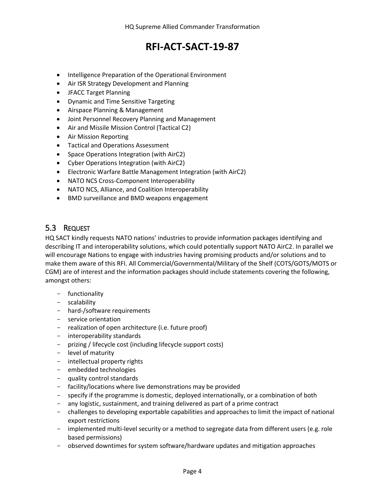- Intelligence Preparation of the Operational Environment
- Air ISR Strategy Development and Planning
- JFACC Target Planning
- Dynamic and Time Sensitive Targeting
- Airspace Planning & Management
- Joint Personnel Recovery Planning and Management
- Air and Missile Mission Control (Tactical C2)
- Air Mission Reporting
- **•** Tactical and Operations Assessment
- Space Operations Integration (with AirC2)
- Cyber Operations Integration (with AirC2)
- Electronic Warfare Battle Management Integration (with AirC2)
- NATO NCS Cross-Component Interoperability
- NATO NCS, Alliance, and Coalition Interoperability
- BMD surveillance and BMD weapons engagement

#### 5.3 REQUEST

HQ SACT kindly requests NATO nations' industries to provide information packages identifying and describing IT and interoperability solutions, which could potentially support NATO AirC2. In parallel we will encourage Nations to engage with industries having promising products and/or solutions and to make them aware of this RFI. All Commercial/Governmental/Military of the Shelf (COTS/GOTS/MOTS or CGM) are of interest and the information packages should include statements covering the following, amongst others:

- functionality
- scalability
- hard-/software requirements
- service orientation
- realization of open architecture (i.e. future proof)
- interoperability standards
- prizing / lifecycle cost (including lifecycle support costs)
- level of maturity
- intellectual property rights
- embedded technologies
- quality control standards
- facility/locations where live demonstrations may be provided
- specify if the programme is domestic, deployed internationally, or a combination of both
- any logistic, sustainment, and training delivered as part of a prime contract
- challenges to developing exportable capabilities and approaches to limit the impact of national export restrictions
- implemented multi-level security or a method to segregate data from different users (e.g. role based permissions)
- observed downtimes for system software/hardware updates and mitigation approaches